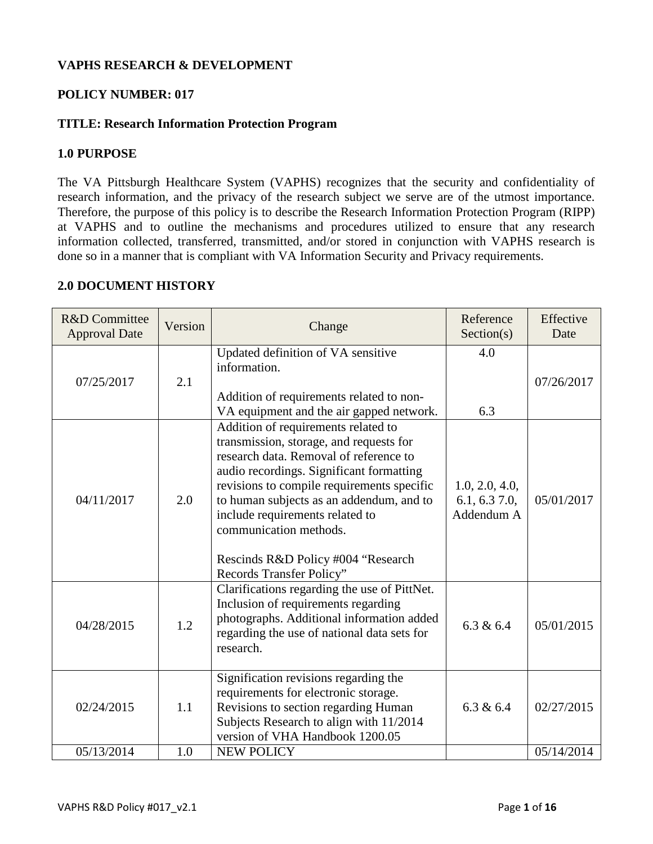# **VAPHS RESEARCH & DEVELOPMENT**

## **POLICY NUMBER: 017**

# **TITLE: Research Information Protection Program**

## **1.0 PURPOSE**

The VA Pittsburgh Healthcare System (VAPHS) recognizes that the security and confidentiality of research information, and the privacy of the research subject we serve are of the utmost importance. Therefore, the purpose of this policy is to describe the Research Information Protection Program (RIPP) at VAPHS and to outline the mechanisms and procedures utilized to ensure that any research information collected, transferred, transmitted, and/or stored in conjunction with VAPHS research is done so in a manner that is compliant with VA Information Security and Privacy requirements.

| <b>R&amp;D</b> Committee<br><b>Approval Date</b> | Version | Change                                                                                                                                                                                                                                                                                                                                                                                        | Reference<br>Section(s)                        | Effective<br>Date |
|--------------------------------------------------|---------|-----------------------------------------------------------------------------------------------------------------------------------------------------------------------------------------------------------------------------------------------------------------------------------------------------------------------------------------------------------------------------------------------|------------------------------------------------|-------------------|
| 07/25/2017                                       | 2.1     | Updated definition of VA sensitive<br>information.<br>Addition of requirements related to non-<br>VA equipment and the air gapped network.                                                                                                                                                                                                                                                    | 4.0<br>6.3                                     | 07/26/2017        |
| 04/11/2017                                       | 2.0     | Addition of requirements related to<br>transmission, storage, and requests for<br>research data. Removal of reference to<br>audio recordings. Significant formatting<br>revisions to compile requirements specific<br>to human subjects as an addendum, and to<br>include requirements related to<br>communication methods.<br>Rescinds R&D Policy #004 "Research<br>Records Transfer Policy" | 1.0, 2.0, 4.0,<br>6.1, 6.3, 7.0,<br>Addendum A | 05/01/2017        |
| 04/28/2015                                       | 1.2     | Clarifications regarding the use of PittNet.<br>Inclusion of requirements regarding<br>photographs. Additional information added<br>regarding the use of national data sets for<br>research.                                                                                                                                                                                                  | 6.3 & 6.4                                      | 05/01/2015        |
| 02/24/2015                                       | 1.1     | Signification revisions regarding the<br>requirements for electronic storage.<br>Revisions to section regarding Human<br>Subjects Research to align with 11/2014<br>version of VHA Handbook 1200.05                                                                                                                                                                                           | 6.3 & 6.4                                      | 02/27/2015        |
| 05/13/2014                                       | 1.0     | <b>NEW POLICY</b>                                                                                                                                                                                                                                                                                                                                                                             |                                                | 05/14/2014        |

## **2.0 DOCUMENT HISTORY**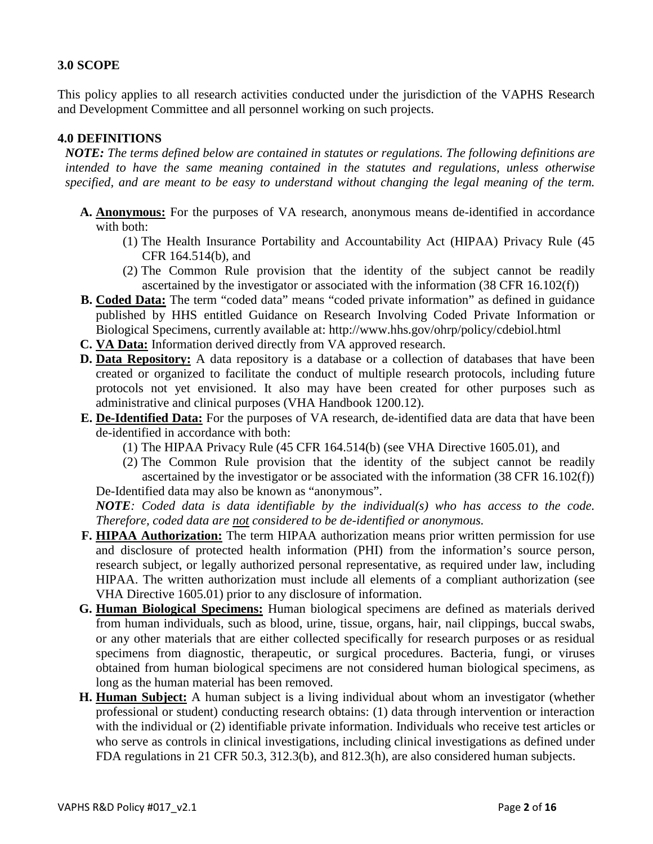# **3.0 SCOPE**

This policy applies to all research activities conducted under the jurisdiction of the VAPHS Research and Development Committee and all personnel working on such projects.

### **4.0 DEFINITIONS**

*NOTE: The terms defined below are contained in statutes or regulations. The following definitions are intended to have the same meaning contained in the statutes and regulations, unless otherwise specified, and are meant to be easy to understand without changing the legal meaning of the term.*

- **A. Anonymous:** For the purposes of VA research, anonymous means de-identified in accordance with both:
	- (1) The Health Insurance Portability and Accountability Act (HIPAA) Privacy Rule (45 CFR 164.514(b), and
	- (2) The Common Rule provision that the identity of the subject cannot be readily ascertained by the investigator or associated with the information (38 CFR 16.102(f))
- **B. Coded Data:** The term "coded data" means "coded private information" as defined in guidance published by HHS entitled Guidance on Research Involving Coded Private Information or Biological Specimens, currently available at: http://www.hhs.gov/ohrp/policy/cdebiol.html
- **C. VA Data:** Information derived directly from VA approved research.
- **D. Data Repository:** A data repository is a database or a collection of databases that have been created or organized to facilitate the conduct of multiple research protocols, including future protocols not yet envisioned. It also may have been created for other purposes such as administrative and clinical purposes (VHA Handbook 1200.12).
- **E. De-Identified Data:** For the purposes of VA research, de-identified data are data that have been de-identified in accordance with both:
	- (1) The HIPAA Privacy Rule (45 CFR 164.514(b) (see VHA Directive 1605.01), and
	- (2) The Common Rule provision that the identity of the subject cannot be readily ascertained by the investigator or be associated with the information (38 CFR 16.102(f)) De-Identified data may also be known as "anonymous".

*NOTE: Coded data is data identifiable by the individual(s) who has access to the code. Therefore, coded data are not considered to be de-identified or anonymous.*

- **F. HIPAA Authorization:** The term HIPAA authorization means prior written permission for use and disclosure of protected health information (PHI) from the information's source person, research subject, or legally authorized personal representative, as required under law, including HIPAA. The written authorization must include all elements of a compliant authorization (see VHA Directive 1605.01) prior to any disclosure of information.
- **G. Human Biological Specimens:** Human biological specimens are defined as materials derived from human individuals, such as blood, urine, tissue, organs, hair, nail clippings, buccal swabs, or any other materials that are either collected specifically for research purposes or as residual specimens from diagnostic, therapeutic, or surgical procedures. Bacteria, fungi, or viruses obtained from human biological specimens are not considered human biological specimens, as long as the human material has been removed.
- **H. Human Subject:** A human subject is a living individual about whom an investigator (whether professional or student) conducting research obtains: (1) data through intervention or interaction with the individual or (2) identifiable private information. Individuals who receive test articles or who serve as controls in clinical investigations, including clinical investigations as defined under FDA regulations in 21 CFR 50.3, 312.3(b), and 812.3(h), are also considered human subjects.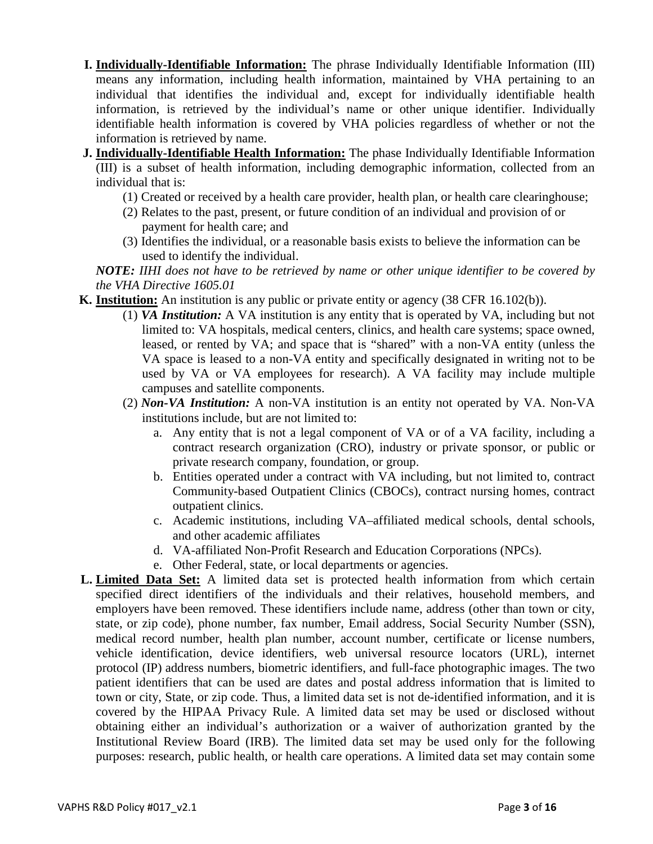- **I. Individually-Identifiable Information:** The phrase Individually Identifiable Information (III) means any information, including health information, maintained by VHA pertaining to an individual that identifies the individual and, except for individually identifiable health information, is retrieved by the individual's name or other unique identifier. Individually identifiable health information is covered by VHA policies regardless of whether or not the information is retrieved by name.
- **J. Individually-Identifiable Health Information:** The phase Individually Identifiable Information (III) is a subset of health information, including demographic information, collected from an individual that is:
	- (1) Created or received by a health care provider, health plan, or health care clearinghouse;
	- (2) Relates to the past, present, or future condition of an individual and provision of or payment for health care; and
	- (3) Identifies the individual, or a reasonable basis exists to believe the information can be used to identify the individual.

*NOTE: IIHI does not have to be retrieved by name or other unique identifier to be covered by the VHA Directive 1605.01*

- **K. Institution:** An institution is any public or private entity or agency (38 CFR 16.102(b)).
	- (1) *VA Institution:* A VA institution is any entity that is operated by VA, including but not limited to: VA hospitals, medical centers, clinics, and health care systems; space owned, leased, or rented by VA; and space that is "shared" with a non-VA entity (unless the VA space is leased to a non-VA entity and specifically designated in writing not to be used by VA or VA employees for research). A VA facility may include multiple campuses and satellite components.
	- (2) *Non-VA Institution:* A non-VA institution is an entity not operated by VA. Non-VA institutions include, but are not limited to:
		- a. Any entity that is not a legal component of VA or of a VA facility, including a contract research organization (CRO), industry or private sponsor, or public or private research company, foundation, or group.
		- b. Entities operated under a contract with VA including, but not limited to, contract Community-based Outpatient Clinics (CBOCs), contract nursing homes, contract outpatient clinics.
		- c. Academic institutions, including VA–affiliated medical schools, dental schools, and other academic affiliates
		- d. VA-affiliated Non-Profit Research and Education Corporations (NPCs).
		- e. Other Federal, state, or local departments or agencies.
- **L. Limited Data Set:** A limited data set is protected health information from which certain specified direct identifiers of the individuals and their relatives, household members, and employers have been removed. These identifiers include name, address (other than town or city, state, or zip code), phone number, fax number, Email address, Social Security Number (SSN), medical record number, health plan number, account number, certificate or license numbers, vehicle identification, device identifiers, web universal resource locators (URL), internet protocol (IP) address numbers, biometric identifiers, and full-face photographic images. The two patient identifiers that can be used are dates and postal address information that is limited to town or city, State, or zip code. Thus, a limited data set is not de-identified information, and it is covered by the HIPAA Privacy Rule. A limited data set may be used or disclosed without obtaining either an individual's authorization or a waiver of authorization granted by the Institutional Review Board (IRB). The limited data set may be used only for the following purposes: research, public health, or health care operations. A limited data set may contain some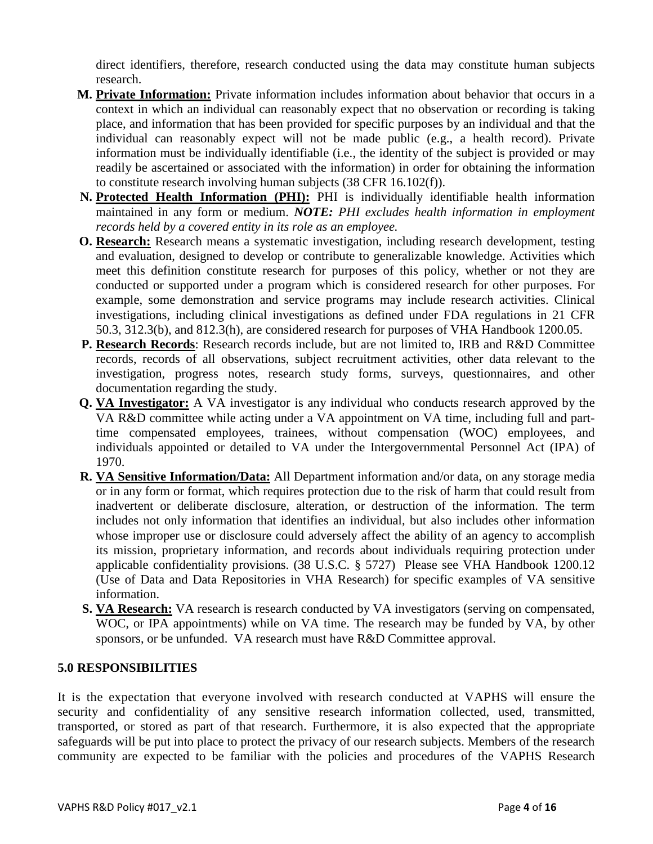direct identifiers, therefore, research conducted using the data may constitute human subjects research.

- **M. Private Information:** Private information includes information about behavior that occurs in a context in which an individual can reasonably expect that no observation or recording is taking place, and information that has been provided for specific purposes by an individual and that the individual can reasonably expect will not be made public (e.g., a health record). Private information must be individually identifiable (i.e., the identity of the subject is provided or may readily be ascertained or associated with the information) in order for obtaining the information to constitute research involving human subjects (38 CFR 16.102(f)).
- **N. Protected Health Information (PHI):** PHI is individually identifiable health information maintained in any form or medium. *NOTE: PHI excludes health information in employment records held by a covered entity in its role as an employee.*
- **O. Research:** Research means a systematic investigation, including research development, testing and evaluation, designed to develop or contribute to generalizable knowledge. Activities which meet this definition constitute research for purposes of this policy, whether or not they are conducted or supported under a program which is considered research for other purposes. For example, some demonstration and service programs may include research activities. Clinical investigations, including clinical investigations as defined under FDA regulations in 21 CFR 50.3, 312.3(b), and 812.3(h), are considered research for purposes of VHA Handbook 1200.05.
- **P. Research Records**: Research records include, but are not limited to, IRB and R&D Committee records, records of all observations, subject recruitment activities, other data relevant to the investigation, progress notes, research study forms, surveys, questionnaires, and other documentation regarding the study.
- **Q. VA Investigator:** A VA investigator is any individual who conducts research approved by the VA R&D committee while acting under a VA appointment on VA time, including full and parttime compensated employees, trainees, without compensation (WOC) employees, and individuals appointed or detailed to VA under the Intergovernmental Personnel Act (IPA) of 1970.
- **R. VA Sensitive Information/Data:** All Department information and/or data, on any storage media or in any form or format, which requires protection due to the risk of harm that could result from inadvertent or deliberate disclosure, alteration, or destruction of the information. The term includes not only information that identifies an individual, but also includes other information whose improper use or disclosure could adversely affect the ability of an agency to accomplish its mission, proprietary information, and records about individuals requiring protection under applicable confidentiality provisions. (38 U.S.C. § 5727) Please see VHA Handbook 1200.12 (Use of Data and Data Repositories in VHA Research) for specific examples of VA sensitive information.
- **S. VA Research:** VA research is research conducted by VA investigators (serving on compensated, WOC, or IPA appointments) while on VA time. The research may be funded by VA, by other sponsors, or be unfunded. VA research must have R&D Committee approval.

# **5.0 RESPONSIBILITIES**

It is the expectation that everyone involved with research conducted at VAPHS will ensure the security and confidentiality of any sensitive research information collected, used, transmitted, transported, or stored as part of that research. Furthermore, it is also expected that the appropriate safeguards will be put into place to protect the privacy of our research subjects. Members of the research community are expected to be familiar with the policies and procedures of the VAPHS Research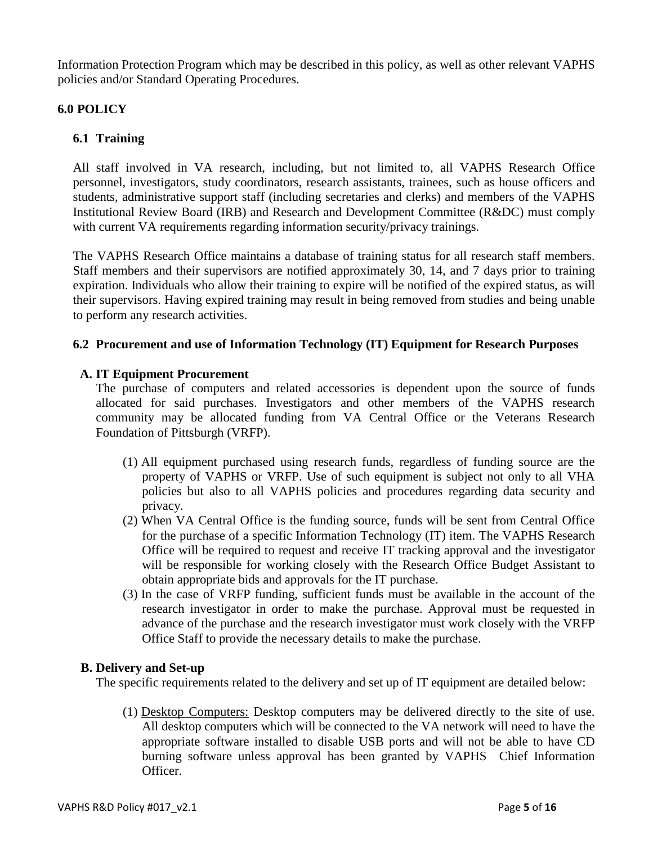Information Protection Program which may be described in this policy, as well as other relevant VAPHS policies and/or Standard Operating Procedures.

# **6.0 POLICY**

# **6.1 Training**

All staff involved in VA research, including, but not limited to, all VAPHS Research Office personnel, investigators, study coordinators, research assistants, trainees, such as house officers and students, administrative support staff (including secretaries and clerks) and members of the VAPHS Institutional Review Board (IRB) and Research and Development Committee (R&DC) must comply with current VA requirements regarding information security/privacy trainings.

The VAPHS Research Office maintains a database of training status for all research staff members. Staff members and their supervisors are notified approximately 30, 14, and 7 days prior to training expiration. Individuals who allow their training to expire will be notified of the expired status, as will their supervisors. Having expired training may result in being removed from studies and being unable to perform any research activities.

## **6.2 Procurement and use of Information Technology (IT) Equipment for Research Purposes**

## **A. IT Equipment Procurement**

The purchase of computers and related accessories is dependent upon the source of funds allocated for said purchases. Investigators and other members of the VAPHS research community may be allocated funding from VA Central Office or the Veterans Research Foundation of Pittsburgh (VRFP).

- (1) All equipment purchased using research funds, regardless of funding source are the property of VAPHS or VRFP. Use of such equipment is subject not only to all VHA policies but also to all VAPHS policies and procedures regarding data security and privacy.
- (2) When VA Central Office is the funding source, funds will be sent from Central Office for the purchase of a specific Information Technology (IT) item. The VAPHS Research Office will be required to request and receive IT tracking approval and the investigator will be responsible for working closely with the Research Office Budget Assistant to obtain appropriate bids and approvals for the IT purchase.
- (3) In the case of VRFP funding, sufficient funds must be available in the account of the research investigator in order to make the purchase. Approval must be requested in advance of the purchase and the research investigator must work closely with the VRFP Office Staff to provide the necessary details to make the purchase.

## **B. Delivery and Set-up**

The specific requirements related to the delivery and set up of IT equipment are detailed below:

(1) Desktop Computers: Desktop computers may be delivered directly to the site of use. All desktop computers which will be connected to the VA network will need to have the appropriate software installed to disable USB ports and will not be able to have CD burning software unless approval has been granted by VAPHS Chief Information Officer.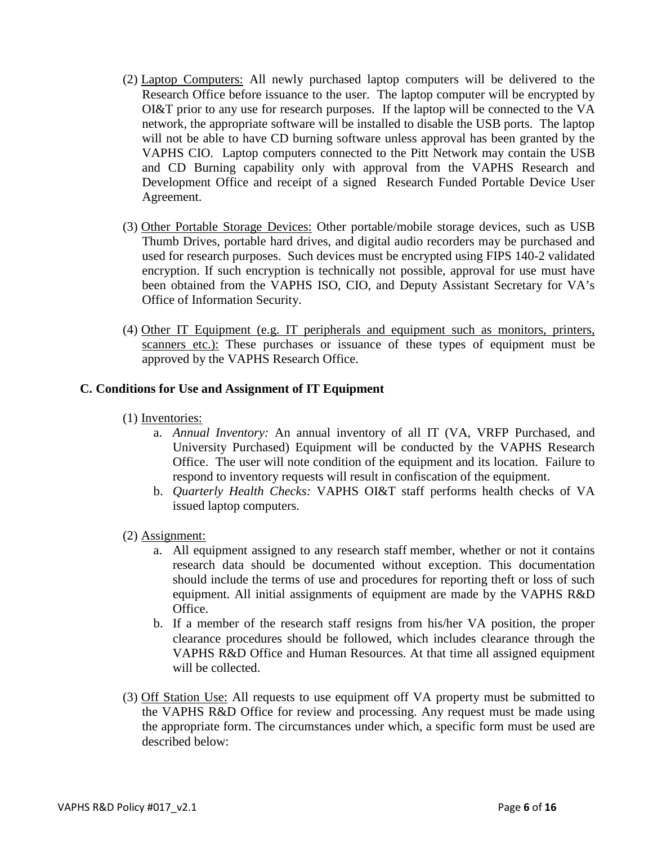- (2) Laptop Computers: All newly purchased laptop computers will be delivered to the Research Office before issuance to the user. The laptop computer will be encrypted by OI&T prior to any use for research purposes. If the laptop will be connected to the VA network, the appropriate software will be installed to disable the USB ports. The laptop will not be able to have CD burning software unless approval has been granted by the VAPHS CIO. Laptop computers connected to the Pitt Network may contain the USB and CD Burning capability only with approval from the VAPHS Research and Development Office and receipt of a signed Research Funded Portable Device User Agreement.
- (3) Other Portable Storage Devices: Other portable/mobile storage devices, such as USB Thumb Drives, portable hard drives, and digital audio recorders may be purchased and used for research purposes. Such devices must be encrypted using FIPS 140-2 validated encryption. If such encryption is technically not possible, approval for use must have been obtained from the VAPHS ISO, CIO, and Deputy Assistant Secretary for VA's Office of Information Security.
- (4) Other IT Equipment (e.g. IT peripherals and equipment such as monitors, printers, scanners etc.): These purchases or issuance of these types of equipment must be approved by the VAPHS Research Office.

## **C. Conditions for Use and Assignment of IT Equipment**

- (1) Inventories:
	- a. *Annual Inventory:* An annual inventory of all IT (VA, VRFP Purchased, and University Purchased) Equipment will be conducted by the VAPHS Research Office. The user will note condition of the equipment and its location. Failure to respond to inventory requests will result in confiscation of the equipment.
	- b. *Quarterly Health Checks:* VAPHS OI&T staff performs health checks of VA issued laptop computers.
- (2) Assignment:
	- a. All equipment assigned to any research staff member, whether or not it contains research data should be documented without exception. This documentation should include the terms of use and procedures for reporting theft or loss of such equipment. All initial assignments of equipment are made by the VAPHS R&D Office.
	- b. If a member of the research staff resigns from his/her VA position, the proper clearance procedures should be followed, which includes clearance through the VAPHS R&D Office and Human Resources. At that time all assigned equipment will be collected.
- (3) Off Station Use: All requests to use equipment off VA property must be submitted to the VAPHS R&D Office for review and processing. Any request must be made using the appropriate form. The circumstances under which, a specific form must be used are described below: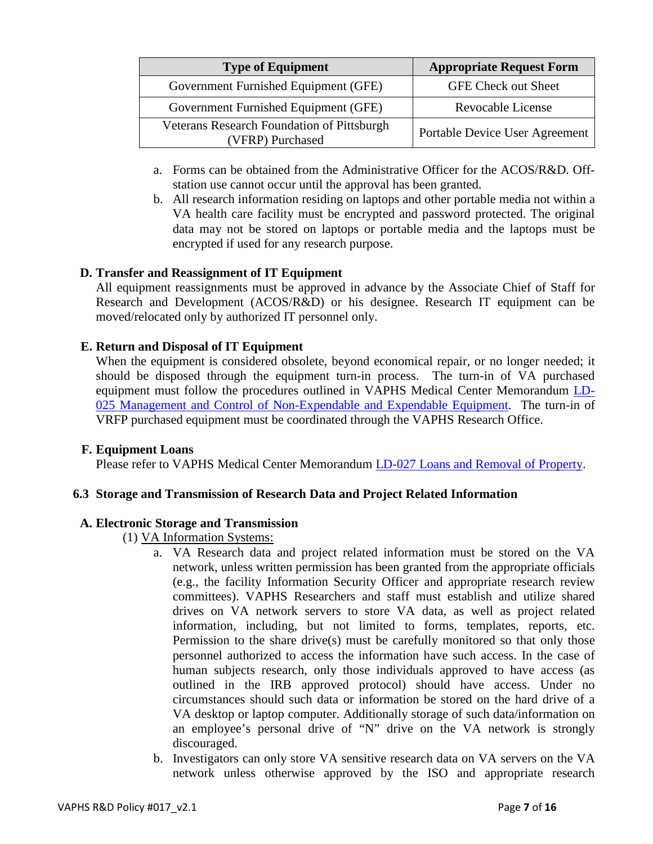| <b>Type of Equipment</b>                                              | <b>Appropriate Request Form</b> |  |
|-----------------------------------------------------------------------|---------------------------------|--|
| Government Furnished Equipment (GFE)                                  | <b>GFE Check out Sheet</b>      |  |
| Government Furnished Equipment (GFE)                                  | Revocable License               |  |
| <b>Veterans Research Foundation of Pittsburgh</b><br>(VFRP) Purchased | Portable Device User Agreement  |  |

- a. Forms can be obtained from the Administrative Officer for the ACOS/R&D. Offstation use cannot occur until the approval has been granted.
- b. All research information residing on laptops and other portable media not within a VA health care facility must be encrypted and password protected. The original data may not be stored on laptops or portable media and the laptops must be encrypted if used for any research purpose.

# **D. Transfer and Reassignment of IT Equipment**

All equipment reassignments must be approved in advance by the Associate Chief of Staff for Research and Development (ACOS/R&D) or his designee. Research IT equipment can be moved/relocated only by authorized IT personnel only.

## **E. Return and Disposal of IT Equipment**

When the equipment is considered obsolete, beyond economical repair, or no longer needed; it should be disposed through the equipment turn-in process. The turn-in of VA purchased equipment must follow the procedures outlined in VAPHS Medical Center Memorandum [LD-](https://vaww.visn4.portal.va.gov/pittsburgh/home/KC/Documents/LD-025%20Management%20and%20Control%20of%20Non-Expendable%20and%20Expendable%20Equipment.doc)[025 Management and Control of Non-Expendable and Expendable Equipment.](https://vaww.visn4.portal.va.gov/pittsburgh/home/KC/Documents/LD-025%20Management%20and%20Control%20of%20Non-Expendable%20and%20Expendable%20Equipment.doc) The turn-in of VRFP purchased equipment must be coordinated through the VAPHS Research Office.

## **F. Equipment Loans**

Please refer to VAPHS Medical Center Memorandum [LD-027 Loans and Removal of Property.](https://vaww.visn4.portal.va.gov/pittsburgh/home/KC/Documents/LD-027%20Loans%20And%20Removal%20Of%20Property.docx)

## **6.3 Storage and Transmission of Research Data and Project Related Information**

## **A. Electronic Storage and Transmission**

- (1) VA Information Systems:
	- a. VA Research data and project related information must be stored on the VA network, unless written permission has been granted from the appropriate officials (e.g., the facility Information Security Officer and appropriate research review committees). VAPHS Researchers and staff must establish and utilize shared drives on VA network servers to store VA data, as well as project related information, including, but not limited to forms, templates, reports, etc. Permission to the share drive(s) must be carefully monitored so that only those personnel authorized to access the information have such access. In the case of human subjects research, only those individuals approved to have access (as outlined in the IRB approved protocol) should have access. Under no circumstances should such data or information be stored on the hard drive of a VA desktop or laptop computer. Additionally storage of such data/information on an employee's personal drive of "N" drive on the VA network is strongly discouraged.
	- b. Investigators can only store VA sensitive research data on VA servers on the VA network unless otherwise approved by the ISO and appropriate research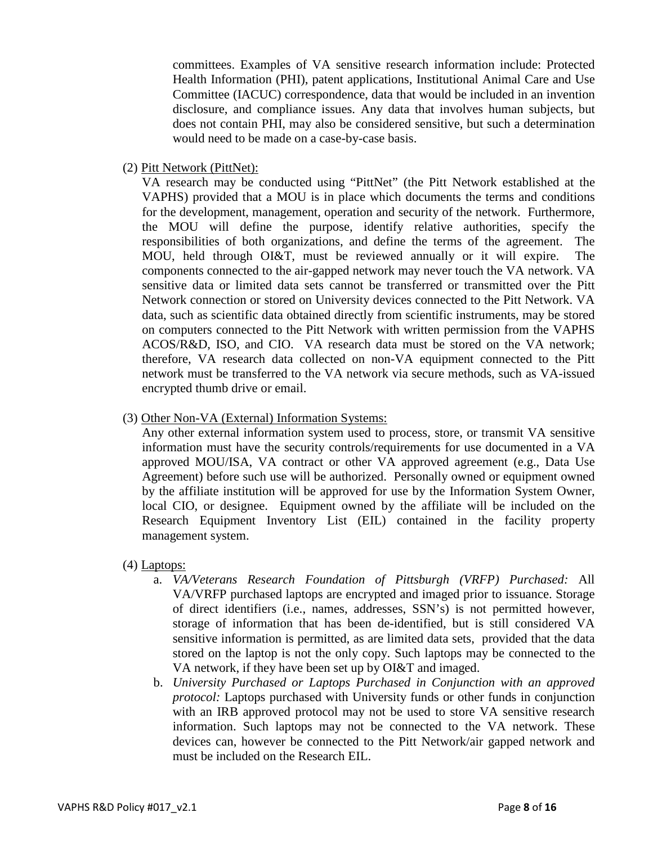committees. Examples of VA sensitive research information include: Protected Health Information (PHI), patent applications, Institutional Animal Care and Use Committee (IACUC) correspondence, data that would be included in an invention disclosure, and compliance issues. Any data that involves human subjects, but does not contain PHI, may also be considered sensitive, but such a determination would need to be made on a case-by-case basis.

(2) Pitt Network (PittNet):

VA research may be conducted using "PittNet" (the Pitt Network established at the VAPHS) provided that a MOU is in place which documents the terms and conditions for the development, management, operation and security of the network. Furthermore, the MOU will define the purpose, identify relative authorities, specify the responsibilities of both organizations, and define the terms of the agreement. The MOU, held through OI&T, must be reviewed annually or it will expire. The components connected to the air-gapped network may never touch the VA network. VA sensitive data or limited data sets cannot be transferred or transmitted over the Pitt Network connection or stored on University devices connected to the Pitt Network. VA data, such as scientific data obtained directly from scientific instruments, may be stored on computers connected to the Pitt Network with written permission from the VAPHS ACOS/R&D, ISO, and CIO. VA research data must be stored on the VA network; therefore, VA research data collected on non-VA equipment connected to the Pitt network must be transferred to the VA network via secure methods, such as VA-issued encrypted thumb drive or email.

(3) Other Non-VA (External) Information Systems:

Any other external information system used to process, store, or transmit VA sensitive information must have the security controls/requirements for use documented in a VA approved MOU/ISA, VA contract or other VA approved agreement (e.g., Data Use Agreement) before such use will be authorized. Personally owned or equipment owned by the affiliate institution will be approved for use by the Information System Owner, local CIO, or designee. Equipment owned by the affiliate will be included on the Research Equipment Inventory List (EIL) contained in the facility property management system.

- (4) Laptops:
	- a. *VA/Veterans Research Foundation of Pittsburgh (VRFP) Purchased:* All VA/VRFP purchased laptops are encrypted and imaged prior to issuance. Storage of direct identifiers (i.e., names, addresses, SSN's) is not permitted however, storage of information that has been de-identified, but is still considered VA sensitive information is permitted, as are limited data sets, provided that the data stored on the laptop is not the only copy. Such laptops may be connected to the VA network, if they have been set up by OI&T and imaged.
	- b. *University Purchased or Laptops Purchased in Conjunction with an approved protocol:* Laptops purchased with University funds or other funds in conjunction with an IRB approved protocol may not be used to store VA sensitive research information. Such laptops may not be connected to the VA network. These devices can, however be connected to the Pitt Network/air gapped network and must be included on the Research EIL.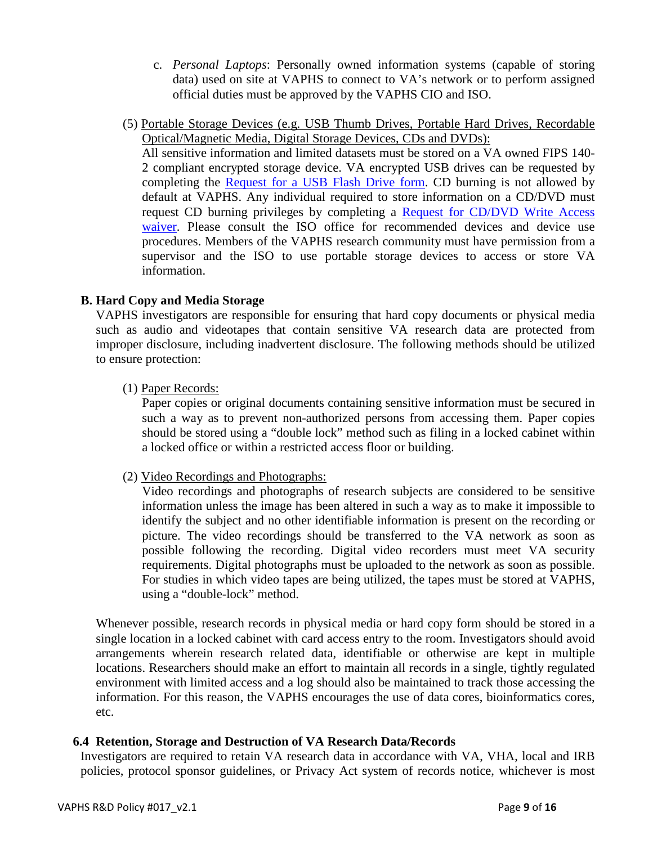- c. *Personal Laptops*: Personally owned information systems (capable of storing data) used on site at VAPHS to connect to VA's network or to perform assigned official duties must be approved by the VAPHS CIO and ISO.
- (5) Portable Storage Devices (e.g. USB Thumb Drives, Portable Hard Drives, Recordable Optical/Magnetic Media, Digital Storage Devices, CDs and DVDs):

All sensitive information and limited datasets must be stored on a VA owned FIPS 140- 2 compliant encrypted storage device. VA encrypted USB drives can be requested by completing the [Request for a USB Flash Drive form.](https://vaww.visn4.portal.va.gov/pittsburgh/home/ISO/ISO%20Documents/VAPHS%20Request%20For%20USB%20Flash%20Drive.doc) CD burning is not allowed by default at VAPHS. Any individual required to store information on a CD/DVD must request CD burning privileges by completing a [Request for CD/DVD Write Access](https://vaww.visn4.portal.va.gov/pittsburgh/home/ISO/ISO%20Documents/VAPHS%20Request%20For%20CD_DVD%20Drive%20Waiver.doc)  [waiver.](https://vaww.visn4.portal.va.gov/pittsburgh/home/ISO/ISO%20Documents/VAPHS%20Request%20For%20CD_DVD%20Drive%20Waiver.doc) Please consult the ISO office for recommended devices and device use procedures. Members of the VAPHS research community must have permission from a supervisor and the ISO to use portable storage devices to access or store VA information.

# **B. Hard Copy and Media Storage**

VAPHS investigators are responsible for ensuring that hard copy documents or physical media such as audio and videotapes that contain sensitive VA research data are protected from improper disclosure, including inadvertent disclosure. The following methods should be utilized to ensure protection:

(1) Paper Records:

Paper copies or original documents containing sensitive information must be secured in such a way as to prevent non-authorized persons from accessing them. Paper copies should be stored using a "double lock" method such as filing in a locked cabinet within a locked office or within a restricted access floor or building.

(2) Video Recordings and Photographs:

Video recordings and photographs of research subjects are considered to be sensitive information unless the image has been altered in such a way as to make it impossible to identify the subject and no other identifiable information is present on the recording or picture. The video recordings should be transferred to the VA network as soon as possible following the recording. Digital video recorders must meet VA security requirements. Digital photographs must be uploaded to the network as soon as possible. For studies in which video tapes are being utilized, the tapes must be stored at VAPHS, using a "double-lock" method.

Whenever possible, research records in physical media or hard copy form should be stored in a single location in a locked cabinet with card access entry to the room. Investigators should avoid arrangements wherein research related data, identifiable or otherwise are kept in multiple locations. Researchers should make an effort to maintain all records in a single, tightly regulated environment with limited access and a log should also be maintained to track those accessing the information. For this reason, the VAPHS encourages the use of data cores, bioinformatics cores, etc.

## **6.4 Retention, Storage and Destruction of VA Research Data/Records**

Investigators are required to retain VA research data in accordance with VA, VHA, local and IRB policies, protocol sponsor guidelines, or Privacy Act system of records notice, whichever is most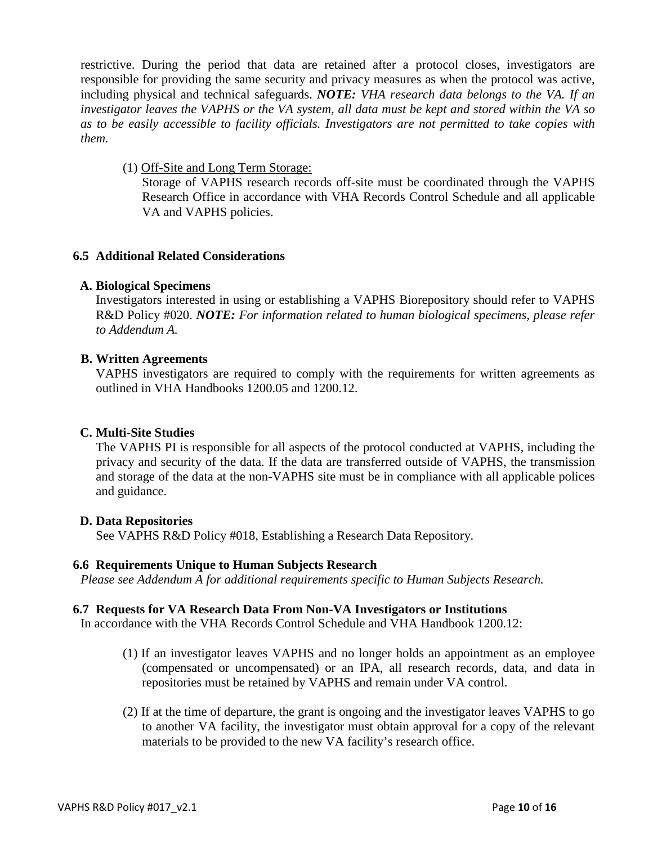restrictive. During the period that data are retained after a protocol closes, investigators are responsible for providing the same security and privacy measures as when the protocol was active, including physical and technical safeguards. *NOTE: VHA research data belongs to the VA. If an investigator leaves the VAPHS or the VA system, all data must be kept and stored within the VA so as to be easily accessible to facility officials. Investigators are not permitted to take copies with them.*

(1) Off-Site and Long Term Storage:

Storage of VAPHS research records off-site must be coordinated through the VAPHS Research Office in accordance with VHA Records Control Schedule and all applicable VA and VAPHS policies.

## **6.5 Additional Related Considerations**

### **A. Biological Specimens**

Investigators interested in using or establishing a VAPHS Biorepository should refer to VAPHS R&D Policy #020. *NOTE: For information related to human biological specimens, please refer to Addendum A.*

## **B. Written Agreements**

VAPHS investigators are required to comply with the requirements for written agreements as outlined in VHA Handbooks 1200.05 and 1200.12.

## **C. Multi-Site Studies**

The VAPHS PI is responsible for all aspects of the protocol conducted at VAPHS, including the privacy and security of the data. If the data are transferred outside of VAPHS, the transmission and storage of the data at the non-VAPHS site must be in compliance with all applicable polices and guidance.

#### **D. Data Repositories**

See VAPHS R&D Policy #018, Establishing a Research Data Repository.

#### **6.6 Requirements Unique to Human Subjects Research**

*Please see Addendum A for additional requirements specific to Human Subjects Research.*

#### **6.7 Requests for VA Research Data From Non-VA Investigators or Institutions**

In accordance with the VHA Records Control Schedule and VHA Handbook 1200.12:

- (1) If an investigator leaves VAPHS and no longer holds an appointment as an employee (compensated or uncompensated) or an IPA, all research records, data, and data in repositories must be retained by VAPHS and remain under VA control.
- (2) If at the time of departure, the grant is ongoing and the investigator leaves VAPHS to go to another VA facility, the investigator must obtain approval for a copy of the relevant materials to be provided to the new VA facility's research office.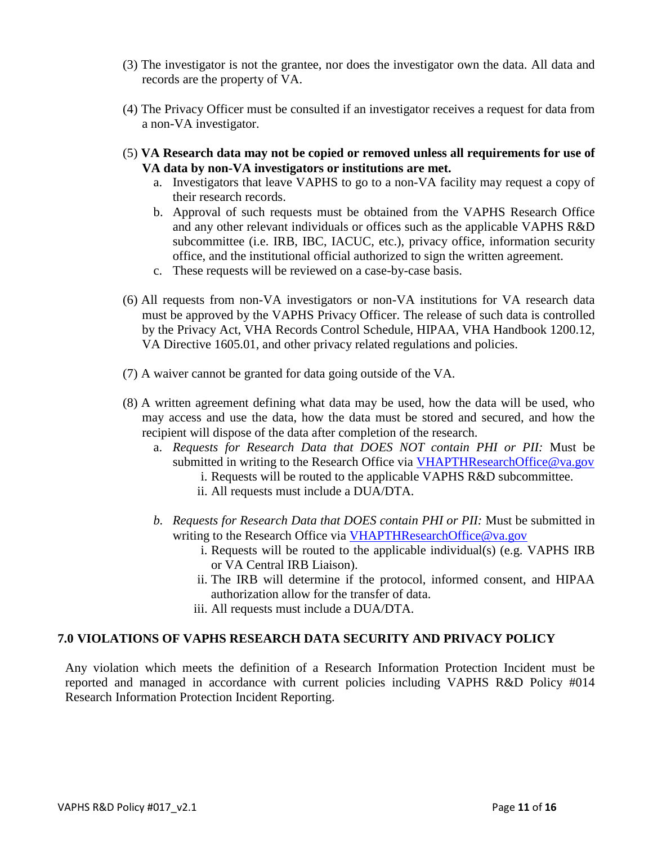- (3) The investigator is not the grantee, nor does the investigator own the data. All data and records are the property of VA.
- (4) The Privacy Officer must be consulted if an investigator receives a request for data from a non-VA investigator.
- (5) **VA Research data may not be copied or removed unless all requirements for use of VA data by non-VA investigators or institutions are met.**
	- a. Investigators that leave VAPHS to go to a non-VA facility may request a copy of their research records.
	- b. Approval of such requests must be obtained from the VAPHS Research Office and any other relevant individuals or offices such as the applicable VAPHS R&D subcommittee (i.e. IRB, IBC, IACUC, etc.), privacy office, information security office, and the institutional official authorized to sign the written agreement.
	- c. These requests will be reviewed on a case-by-case basis.
- (6) All requests from non-VA investigators or non-VA institutions for VA research data must be approved by the VAPHS Privacy Officer. The release of such data is controlled by the Privacy Act, VHA Records Control Schedule, HIPAA, VHA Handbook 1200.12, VA Directive 1605.01, and other privacy related regulations and policies.
- (7) A waiver cannot be granted for data going outside of the VA.
- (8) A written agreement defining what data may be used, how the data will be used, who may access and use the data, how the data must be stored and secured, and how the recipient will dispose of the data after completion of the research.
	- a. *Requests for Research Data that DOES NOT contain PHI or PII:* Must be submitted in writing to the Research Office via [VHAPTHResearchOffice@va.gov](mailto:VHAPTHResearchOffice@va.gov)
		- i. Requests will be routed to the applicable VAPHS R&D subcommittee.
		- ii. All requests must include a DUA/DTA.
	- *b. Requests for Research Data that DOES contain PHI or PII:* Must be submitted in writing to the Research Office via [VHAPTHResearchOffice@va.gov](mailto:VHAPTHResearchOffice@va.gov)
		- i. Requests will be routed to the applicable individual(s) (e.g. VAPHS IRB or VA Central IRB Liaison).
		- ii. The IRB will determine if the protocol, informed consent, and HIPAA authorization allow for the transfer of data.
		- iii. All requests must include a DUA/DTA.

## **7.0 VIOLATIONS OF VAPHS RESEARCH DATA SECURITY AND PRIVACY POLICY**

Any violation which meets the definition of a Research Information Protection Incident must be reported and managed in accordance with current policies including VAPHS R&D Policy #014 Research Information Protection Incident Reporting.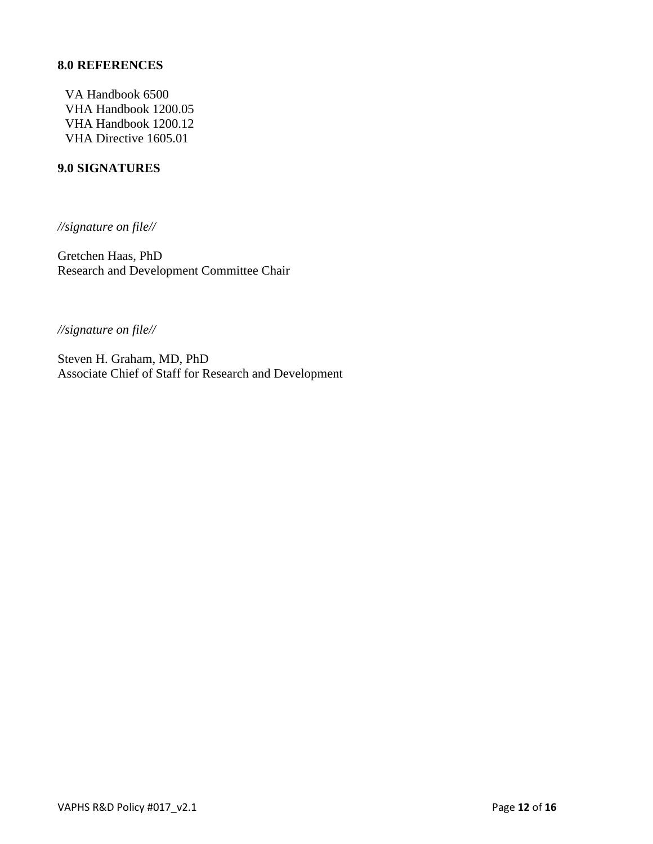## **8.0 REFERENCES**

VA Handbook 6500 VHA Handbook 1200.05 VHA Handbook 1200.12 VHA Directive 1605.01

### **9.0 SIGNATURES**

*//signature on file//*

Gretchen Haas, PhD Research and Development Committee Chair

*//signature on file//*

Steven H. Graham, MD, PhD Associate Chief of Staff for Research and Development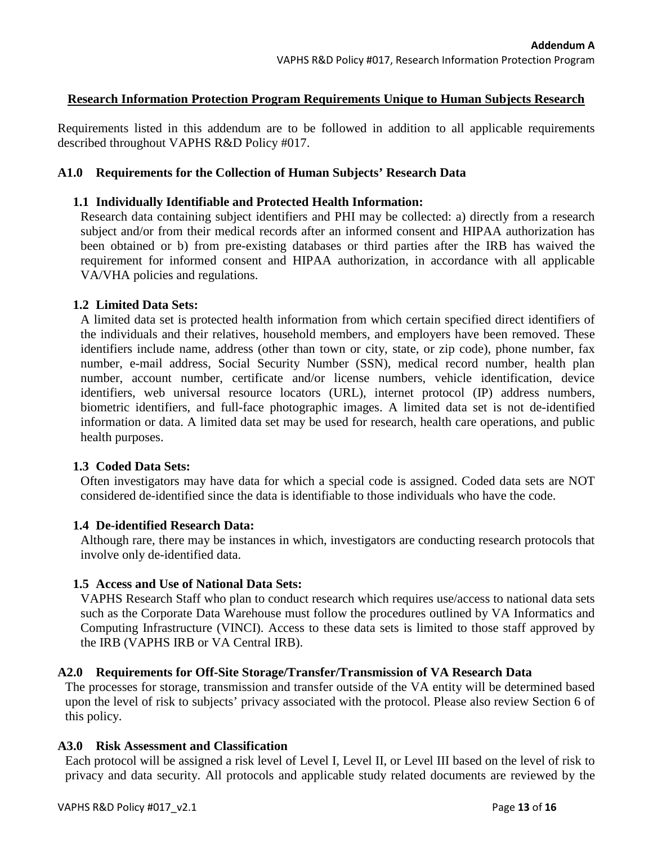## **Research Information Protection Program Requirements Unique to Human Subjects Research**

Requirements listed in this addendum are to be followed in addition to all applicable requirements described throughout VAPHS R&D Policy #017.

### **A1.0 Requirements for the Collection of Human Subjects' Research Data**

### **1.1 Individually Identifiable and Protected Health Information:**

Research data containing subject identifiers and PHI may be collected: a) directly from a research subject and/or from their medical records after an informed consent and HIPAA authorization has been obtained or b) from pre-existing databases or third parties after the IRB has waived the requirement for informed consent and HIPAA authorization, in accordance with all applicable VA/VHA policies and regulations.

### **1.2 Limited Data Sets:**

A limited data set is protected health information from which certain specified direct identifiers of the individuals and their relatives, household members, and employers have been removed. These identifiers include name, address (other than town or city, state, or zip code), phone number, fax number, e-mail address, Social Security Number (SSN), medical record number, health plan number, account number, certificate and/or license numbers, vehicle identification, device identifiers, web universal resource locators (URL), internet protocol (IP) address numbers, biometric identifiers, and full-face photographic images. A limited data set is not de-identified information or data. A limited data set may be used for research, health care operations, and public health purposes.

#### **1.3 Coded Data Sets:**

Often investigators may have data for which a special code is assigned. Coded data sets are NOT considered de-identified since the data is identifiable to those individuals who have the code.

#### **1.4 De-identified Research Data:**

Although rare, there may be instances in which, investigators are conducting research protocols that involve only de-identified data.

## **1.5 Access and Use of National Data Sets:**

VAPHS Research Staff who plan to conduct research which requires use/access to national data sets such as the Corporate Data Warehouse must follow the procedures outlined by VA Informatics and Computing Infrastructure (VINCI). Access to these data sets is limited to those staff approved by the IRB (VAPHS IRB or VA Central IRB).

#### **A2.0 Requirements for Off-Site Storage/Transfer/Transmission of VA Research Data**

The processes for storage, transmission and transfer outside of the VA entity will be determined based upon the level of risk to subjects' privacy associated with the protocol. Please also review Section 6 of this policy.

#### **A3.0 Risk Assessment and Classification**

Each protocol will be assigned a risk level of Level I, Level II, or Level III based on the level of risk to privacy and data security. All protocols and applicable study related documents are reviewed by the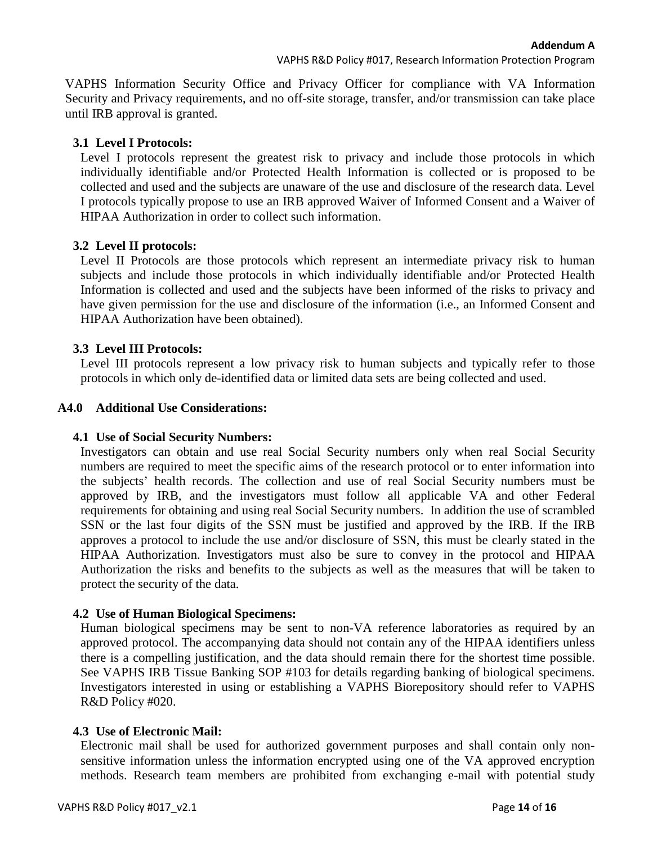VAPHS Information Security Office and Privacy Officer for compliance with VA Information Security and Privacy requirements, and no off-site storage, transfer, and/or transmission can take place until IRB approval is granted.

# **3.1 Level I Protocols:**

Level I protocols represent the greatest risk to privacy and include those protocols in which individually identifiable and/or Protected Health Information is collected or is proposed to be collected and used and the subjects are unaware of the use and disclosure of the research data. Level I protocols typically propose to use an IRB approved Waiver of Informed Consent and a Waiver of HIPAA Authorization in order to collect such information.

# **3.2 Level II protocols:**

Level II Protocols are those protocols which represent an intermediate privacy risk to human subjects and include those protocols in which individually identifiable and/or Protected Health Information is collected and used and the subjects have been informed of the risks to privacy and have given permission for the use and disclosure of the information (i.e., an Informed Consent and HIPAA Authorization have been obtained).

# **3.3 Level III Protocols:**

Level III protocols represent a low privacy risk to human subjects and typically refer to those protocols in which only de-identified data or limited data sets are being collected and used.

# **A4.0 Additional Use Considerations:**

# **4.1 Use of Social Security Numbers:**

Investigators can obtain and use real Social Security numbers only when real Social Security numbers are required to meet the specific aims of the research protocol or to enter information into the subjects' health records. The collection and use of real Social Security numbers must be approved by IRB, and the investigators must follow all applicable VA and other Federal requirements for obtaining and using real Social Security numbers. In addition the use of scrambled SSN or the last four digits of the SSN must be justified and approved by the IRB. If the IRB approves a protocol to include the use and/or disclosure of SSN, this must be clearly stated in the HIPAA Authorization. Investigators must also be sure to convey in the protocol and HIPAA Authorization the risks and benefits to the subjects as well as the measures that will be taken to protect the security of the data.

# **4.2 Use of Human Biological Specimens:**

Human biological specimens may be sent to non-VA reference laboratories as required by an approved protocol. The accompanying data should not contain any of the HIPAA identifiers unless there is a compelling justification, and the data should remain there for the shortest time possible. See VAPHS IRB Tissue Banking SOP #103 for details regarding banking of biological specimens. Investigators interested in using or establishing a VAPHS Biorepository should refer to VAPHS R&D Policy #020.

# **4.3 Use of Electronic Mail:**

Electronic mail shall be used for authorized government purposes and shall contain only nonsensitive information unless the information encrypted using one of the VA approved encryption methods. Research team members are prohibited from exchanging e-mail with potential study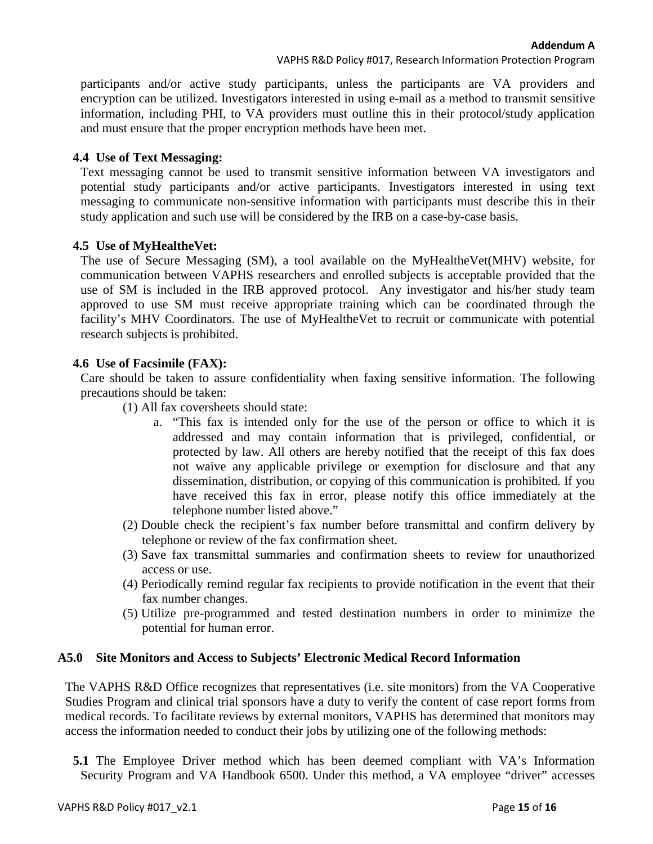VAPHS R&D Policy #017, Research Information Protection Program

participants and/or active study participants, unless the participants are VA providers and encryption can be utilized. Investigators interested in using e-mail as a method to transmit sensitive information, including PHI, to VA providers must outline this in their protocol/study application and must ensure that the proper encryption methods have been met.

## **4.4 Use of Text Messaging:**

Text messaging cannot be used to transmit sensitive information between VA investigators and potential study participants and/or active participants. Investigators interested in using text messaging to communicate non-sensitive information with participants must describe this in their study application and such use will be considered by the IRB on a case-by-case basis.

# **4.5 Use of MyHealtheVet:**

The use of Secure Messaging (SM), a tool available on the MyHealtheVet(MHV) website, for communication between VAPHS researchers and enrolled subjects is acceptable provided that the use of SM is included in the IRB approved protocol. Any investigator and his/her study team approved to use SM must receive appropriate training which can be coordinated through the facility's MHV Coordinators. The use of MyHealtheVet to recruit or communicate with potential research subjects is prohibited.

## **4.6 Use of Facsimile (FAX):**

Care should be taken to assure confidentiality when faxing sensitive information. The following precautions should be taken:

(1) All fax coversheets should state:

- a. "This fax is intended only for the use of the person or office to which it is addressed and may contain information that is privileged, confidential, or protected by law. All others are hereby notified that the receipt of this fax does not waive any applicable privilege or exemption for disclosure and that any dissemination, distribution, or copying of this communication is prohibited. If you have received this fax in error, please notify this office immediately at the telephone number listed above."
- (2) Double check the recipient's fax number before transmittal and confirm delivery by telephone or review of the fax confirmation sheet.
- (3) Save fax transmittal summaries and confirmation sheets to review for unauthorized access or use.
- (4) Periodically remind regular fax recipients to provide notification in the event that their fax number changes.
- (5) Utilize pre-programmed and tested destination numbers in order to minimize the potential for human error.

## **A5.0 Site Monitors and Access to Subjects' Electronic Medical Record Information**

The VAPHS R&D Office recognizes that representatives (i.e. site monitors) from the VA Cooperative Studies Program and clinical trial sponsors have a duty to verify the content of case report forms from medical records. To facilitate reviews by external monitors, VAPHS has determined that monitors may access the information needed to conduct their jobs by utilizing one of the following methods:

**5.1** The Employee Driver method which has been deemed compliant with VA's Information Security Program and VA Handbook 6500. Under this method, a VA employee "driver" accesses